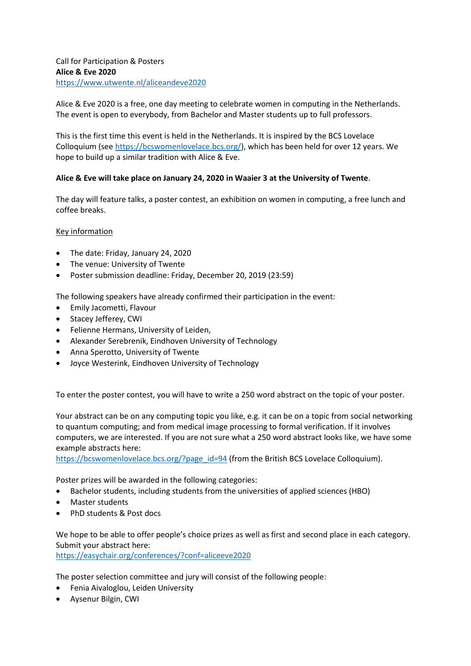Alice & Eve 2020 is a free, one day meeting to celebrate women in computing in the Netherlands. The event is open to everybody, from Bachelor and Master students up to full professors.

This is the first time this event is held in the Netherlands. It is inspired by the BCS Lovelace Colloquium (see [https://bcswomenlovelace.bcs.org/\)](https://bcswomenlovelace.bcs.org/), which has been held for over 12 years. We hope to build up a similar tradition with Alice & Eve.

## **Alice & Eve will take place on January 24, 2020 in Waaier 3 at the University of Twente**.

The day will feature talks, a poster contest, an exhibition on women in computing, a free lunch and coffee breaks.

## Key information

- The date: Friday, January 24, 2020
- The venue: University of Twente
- Poster submission deadline: Friday, December 20, 2019 (23:59)

The following speakers have already confirmed their participation in the event:

- Emily Jacometti, Flavour
- Stacey Jefferey, CWI
- Felienne Hermans, University of Leiden,
- Alexander Serebrenik, Eindhoven University of Technology
- Anna Sperotto, University of Twente
- Joyce Westerink, Eindhoven University of Technology

To enter the poster contest, you will have to write a 250 word abstract on the topic of your poster.

Your abstract can be on any computing topic you like, e.g. it can be on a topic from social networking to quantum computing; and from medical image processing to formal verification. If it involves computers, we are interested. If you are not sure what a 250 word abstract looks like, we have some example abstracts here:

[https://bcswomenlovelace.bcs.org/?page\\_id=94](https://bcswomenlovelace.bcs.org/?page_id=94) (from the British BCS Lovelace Colloquium).

Poster prizes will be awarded in the following categories:

- Bachelor students, including students from the universities of applied sciences (HBO)
- Master students
- PhD students & Post docs

We hope to be able to offer people's choice prizes as well as first and second place in each category. Submit your abstract here:

<https://easychair.org/conferences/?conf=aliceeve2020>

The poster selection committee and jury will consist of the following people:

- **•** Fenia Aivaloglou, Leiden University
- Aysenur Bilgin, CWI